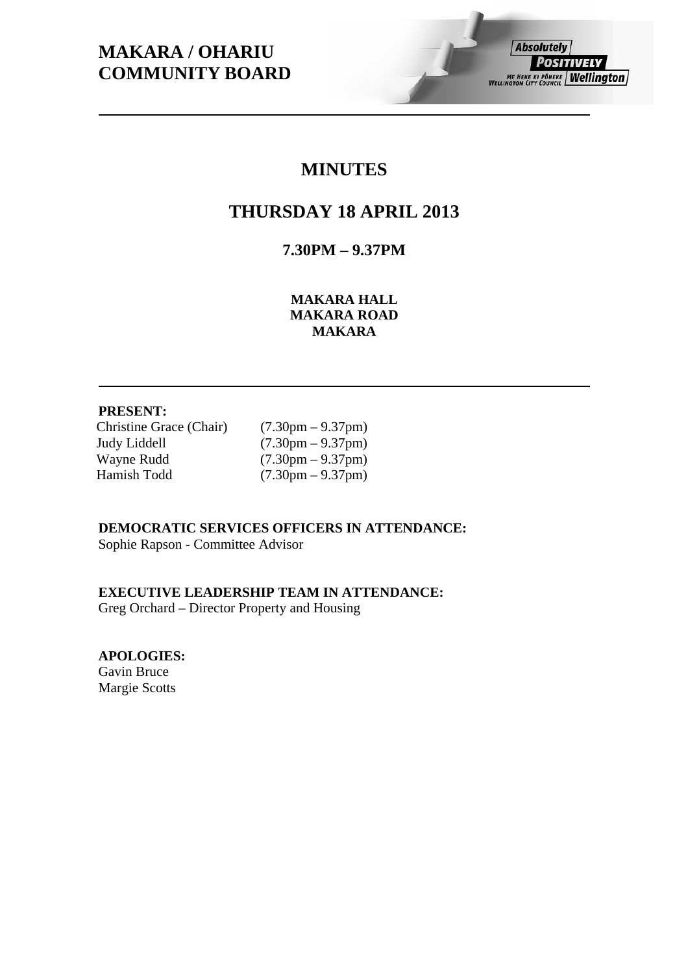# **MAKARA / OHARIU COMMUNITY BOARD**

# **Absolutely** *POSITIVELY* ME HEKE KI PÔNEKE | Wellington

# **MINUTES**

# **THURSDAY 18 APRIL 2013**

**7.30PM – 9.37PM** 

**MAKARA HALL MAKARA ROAD MAKARA** 

# **PRESENT:**

Christine Grace (Chair) (7.30pm – 9.37pm) Judy Liddell  $(7.30 \text{pm} - 9.37 \text{pm})$ Wayne Rudd (7.30pm – 9.37pm) Hamish Todd (7.30pm – 9.37pm)

# **DEMOCRATIC SERVICES OFFICERS IN ATTENDANCE:**

Sophie Rapson - Committee Advisor

### **EXECUTIVE LEADERSHIP TEAM IN ATTENDANCE:**

Greg Orchard – Director Property and Housing

**APOLOGIES:** 

Gavin Bruce Margie Scotts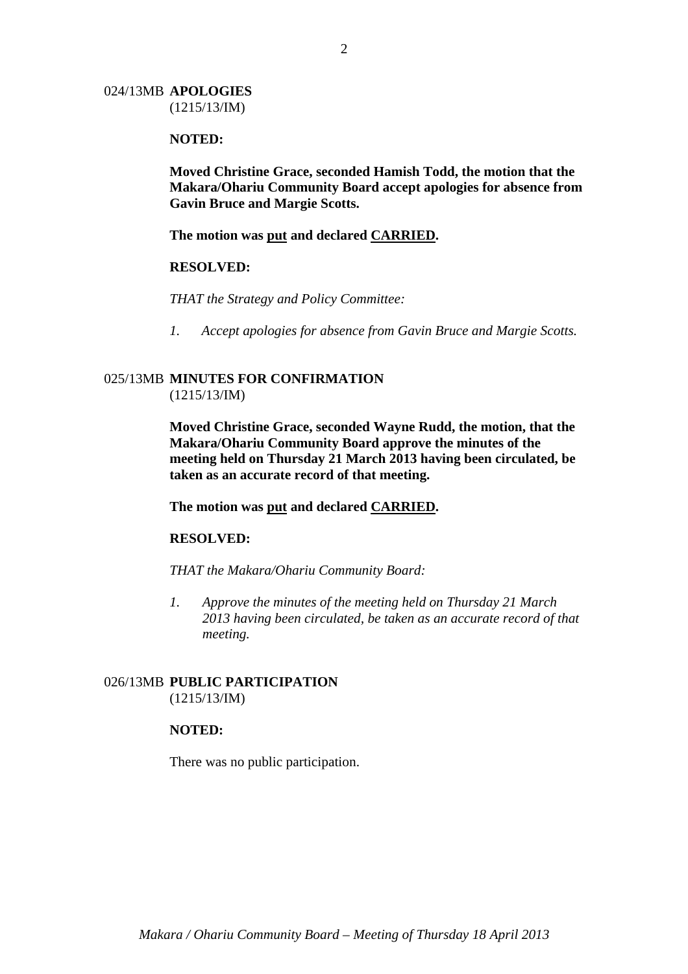#### 024/13MB **APOLOGIES** (1215/13/IM)

#### **NOTED:**

**Moved Christine Grace, seconded Hamish Todd, the motion that the Makara/Ohariu Community Board accept apologies for absence from Gavin Bruce and Margie Scotts.** 

**The motion was put and declared CARRIED.** 

#### **RESOLVED:**

*THAT the Strategy and Policy Committee:* 

*1. Accept apologies for absence from Gavin Bruce and Margie Scotts.* 

#### 025/13MB **MINUTES FOR CONFIRMATION** (1215/13/IM)

**Moved Christine Grace, seconded Wayne Rudd, the motion, that the Makara/Ohariu Community Board approve the minutes of the meeting held on Thursday 21 March 2013 having been circulated, be taken as an accurate record of that meeting.** 

**The motion was put and declared CARRIED.** 

#### **RESOLVED:**

*THAT the Makara/Ohariu Community Board:* 

*1. Approve the minutes of the meeting held on Thursday 21 March 2013 having been circulated, be taken as an accurate record of that meeting.* 

#### 026/13MB **PUBLIC PARTICIPATION** (1215/13/IM)

#### **NOTED:**

There was no public participation.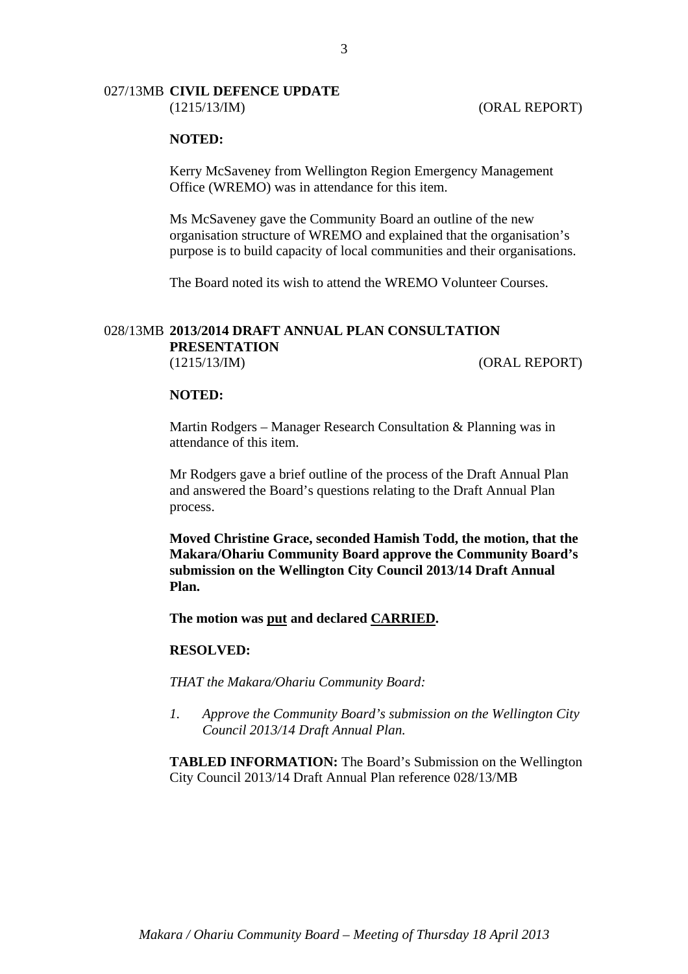#### 027/13MB **CIVIL DEFENCE UPDATE** (1215/13/IM) (ORAL REPORT)

#### **NOTED:**

Kerry McSaveney from Wellington Region Emergency Management Office (WREMO) was in attendance for this item.

Ms McSaveney gave the Community Board an outline of the new organisation structure of WREMO and explained that the organisation's purpose is to build capacity of local communities and their organisations.

The Board noted its wish to attend the WREMO Volunteer Courses.

# 028/13MB **2013/2014 DRAFT ANNUAL PLAN CONSULTATION PRESENTATION**

(1215/13/IM) (ORAL REPORT)

#### **NOTED:**

Martin Rodgers – Manager Research Consultation & Planning was in attendance of this item.

Mr Rodgers gave a brief outline of the process of the Draft Annual Plan and answered the Board's questions relating to the Draft Annual Plan process.

**Moved Christine Grace, seconded Hamish Todd, the motion, that the Makara/Ohariu Community Board approve the Community Board's submission on the Wellington City Council 2013/14 Draft Annual Plan.** 

**The motion was put and declared CARRIED.** 

#### **RESOLVED:**

*THAT the Makara/Ohariu Community Board:* 

*1. Approve the Community Board's submission on the Wellington City Council 2013/14 Draft Annual Plan.* 

**TABLED INFORMATION:** The Board's Submission on the Wellington City Council 2013/14 Draft Annual Plan reference 028/13/MB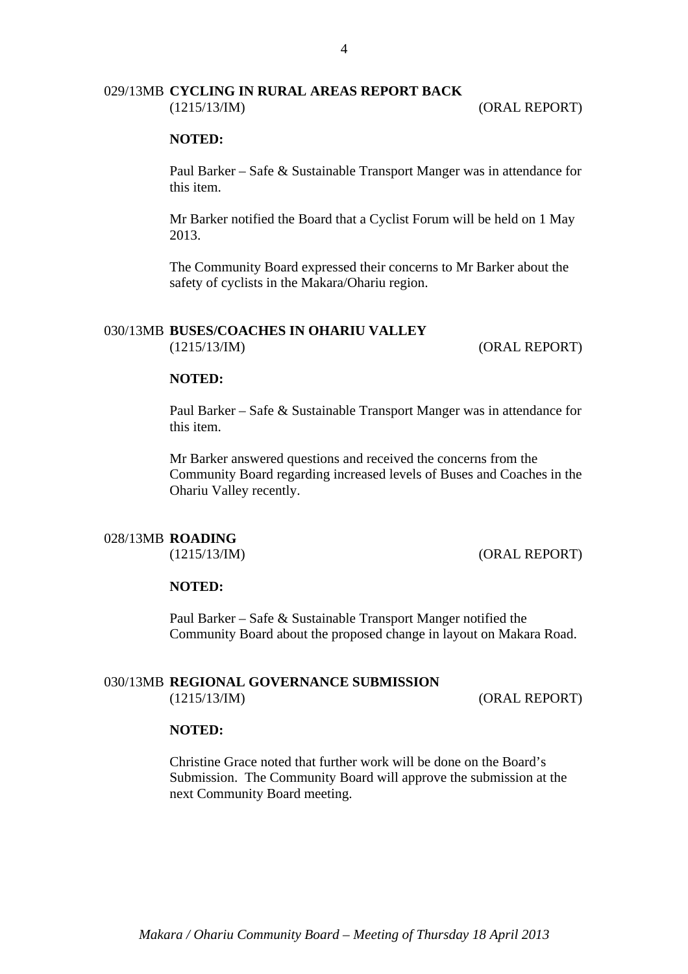#### 029/13MB **CYCLING IN RURAL AREAS REPORT BACK** (1215/13/IM) (ORAL REPORT)

#### **NOTED:**

Paul Barker – Safe & Sustainable Transport Manger was in attendance for this item.

Mr Barker notified the Board that a Cyclist Forum will be held on 1 May 2013.

The Community Board expressed their concerns to Mr Barker about the safety of cyclists in the Makara/Ohariu region.

# 030/13MB **BUSES/COACHES IN OHARIU VALLEY**

(1215/13/IM) (ORAL REPORT)

#### **NOTED:**

Paul Barker – Safe & Sustainable Transport Manger was in attendance for this item.

Mr Barker answered questions and received the concerns from the Community Board regarding increased levels of Buses and Coaches in the Ohariu Valley recently.

#### 028/13MB **ROADING**

(1215/13/IM) (ORAL REPORT)

#### **NOTED:**

Paul Barker – Safe & Sustainable Transport Manger notified the Community Board about the proposed change in layout on Makara Road.

#### 030/13MB **REGIONAL GOVERNANCE SUBMISSION** (1215/13/IM) (ORAL REPORT)

#### **NOTED:**

Christine Grace noted that further work will be done on the Board's Submission. The Community Board will approve the submission at the next Community Board meeting.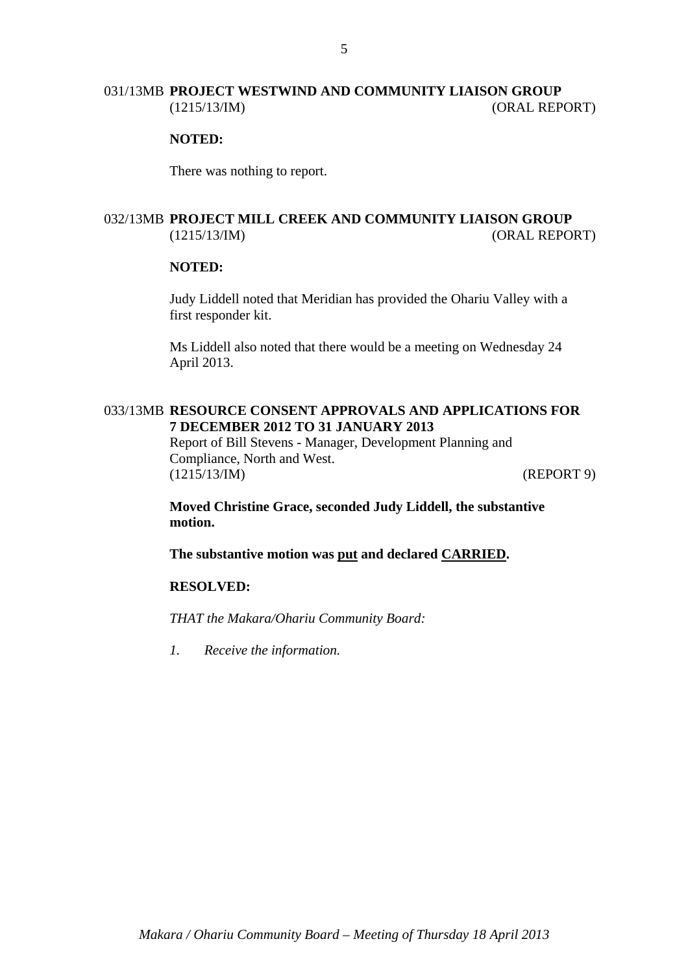#### 031/13MB **PROJECT WESTWIND AND COMMUNITY LIAISON GROUP** (1215/13/IM) (ORAL REPORT)

#### **NOTED:**

There was nothing to report.

### 032/13MB **PROJECT MILL CREEK AND COMMUNITY LIAISON GROUP** (1215/13/IM) (ORAL REPORT)

#### **NOTED:**

Judy Liddell noted that Meridian has provided the Ohariu Valley with a first responder kit.

Ms Liddell also noted that there would be a meeting on Wednesday 24 April 2013.

#### 033/13MB **RESOURCE CONSENT APPROVALS AND APPLICATIONS FOR 7 DECEMBER 2012 TO 31 JANUARY 2013**

Report of Bill Stevens - Manager, Development Planning and Compliance, North and West. (1215/13/IM) (REPORT 9)

**Moved Christine Grace, seconded Judy Liddell, the substantive motion.** 

**The substantive motion was put and declared CARRIED.** 

#### **RESOLVED:**

*THAT the Makara/Ohariu Community Board:* 

*1. Receive the information.*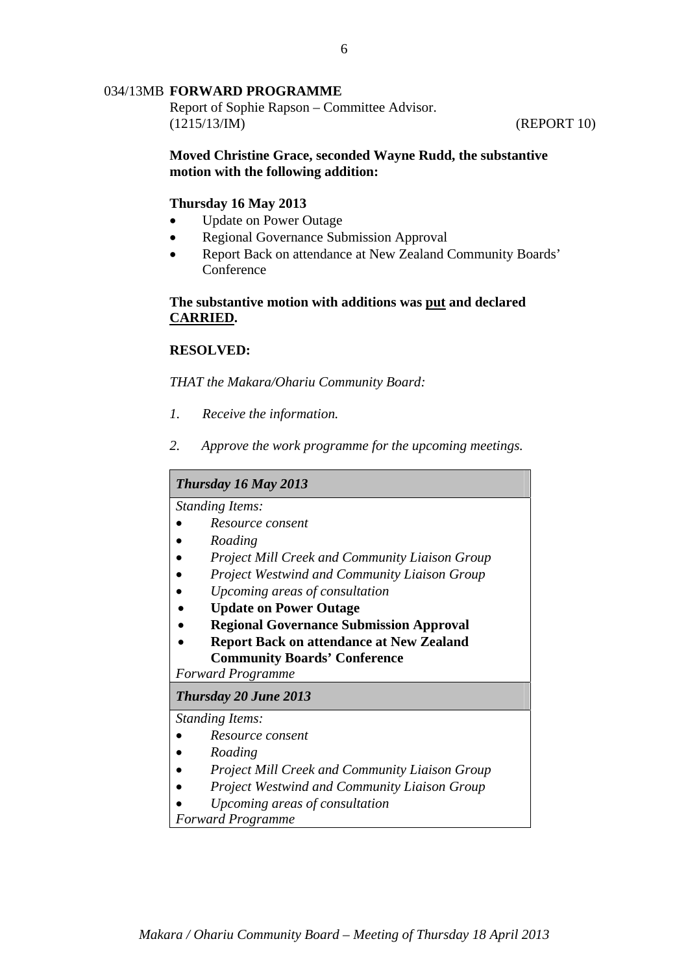#### 034/13MB **FORWARD PROGRAMME**

Report of Sophie Rapson – Committee Advisor. (1215/13/IM) (REPORT 10)

#### **Moved Christine Grace, seconded Wayne Rudd, the substantive motion with the following addition:**

#### **Thursday 16 May 2013**

- Update on Power Outage
- Regional Governance Submission Approval
- Report Back on attendance at New Zealand Community Boards' Conference

#### **The substantive motion with additions was put and declared CARRIED.**

#### **RESOLVED:**

*THAT the Makara/Ohariu Community Board:* 

- *1. Receive the information.*
- *2. Approve the work programme for the upcoming meetings.*

#### *Thursday 16 May 2013*

*Standing Items:* 

- *Resource consent*
- *Roading*
- *Project Mill Creek and Community Liaison Group*
- *Project Westwind and Community Liaison Group*
- *Upcoming areas of consultation*
- **Update on Power Outage**
- **Regional Governance Submission Approval**
- **Report Back on attendance at New Zealand Community Boards' Conference**

*Forward Programme* 

#### *Thursday 20 June 2013*

*Standing Items:* 

- *Resource consent*
- *Roading*
- *Project Mill Creek and Community Liaison Group*
- *Project Westwind and Community Liaison Group*
- *Upcoming areas of consultation*

*Forward Programme*